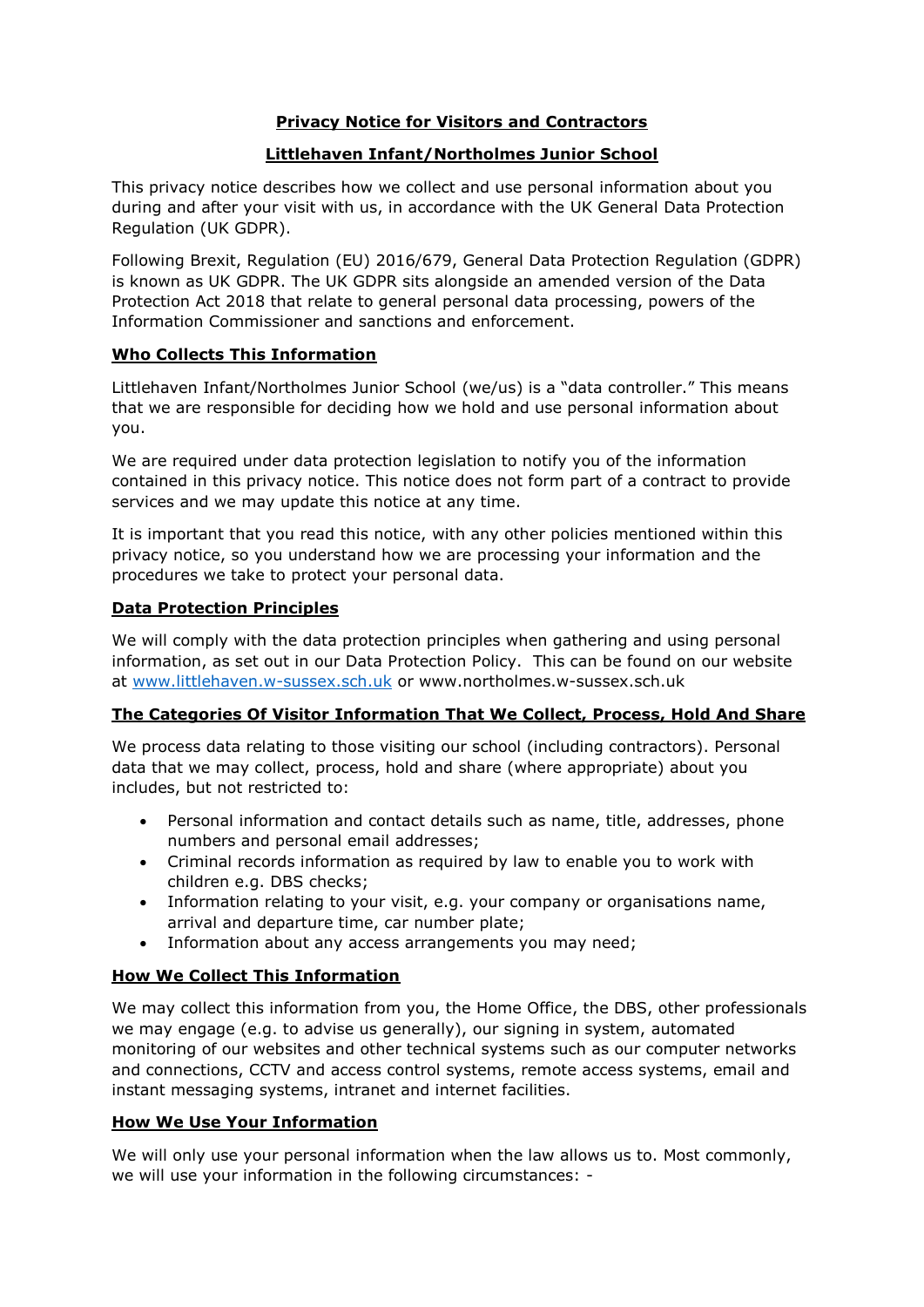# **Privacy Notice for Visitors and Contractors**

#### **Littlehaven Infant/Northolmes Junior School**

This privacy notice describes how we collect and use personal information about you during and after your visit with us, in accordance with the UK General Data Protection Regulation (UK GDPR).

Following Brexit, Regulation (EU) 2016/679, General Data Protection Regulation (GDPR) is known as UK GDPR. The UK GDPR sits alongside an amended version of the Data Protection Act 2018 that relate to general personal data processing, powers of the Information Commissioner and sanctions and enforcement.

#### **Who Collects This Information**

Littlehaven Infant/Northolmes Junior School (we/us) is a "data controller." This means that we are responsible for deciding how we hold and use personal information about you.

We are required under data protection legislation to notify you of the information contained in this privacy notice. This notice does not form part of a contract to provide services and we may update this notice at any time.

It is important that you read this notice, with any other policies mentioned within this privacy notice, so you understand how we are processing your information and the procedures we take to protect your personal data.

#### **Data Protection Principles**

We will comply with the data protection principles when gathering and using personal information, as set out in our Data Protection Policy. This can be found on our website at [www.littlehaven.w-sussex.sch.uk](http://www.littlehaven.w-sussex.sch.uk/) or www.northolmes.w-sussex.sch.uk

#### **The Categories Of Visitor Information That We Collect, Process, Hold And Share**

We process data relating to those visiting our school (including contractors). Personal data that we may collect, process, hold and share (where appropriate) about you includes, but not restricted to:

- Personal information and contact details such as name, title, addresses, phone numbers and personal email addresses;
- Criminal records information as required by law to enable you to work with children e.g. DBS checks;
- Information relating to your visit, e.g. your company or organisations name, arrival and departure time, car number plate;
- Information about any access arrangements you may need;

#### **How We Collect This Information**

We may collect this information from you, the Home Office, the DBS, other professionals we may engage (e.g. to advise us generally), our signing in system, automated monitoring of our websites and other technical systems such as our computer networks and connections, CCTV and access control systems, remote access systems, email and instant messaging systems, intranet and internet facilities.

## **How We Use Your Information**

We will only use your personal information when the law allows us to. Most commonly, we will use your information in the following circumstances: -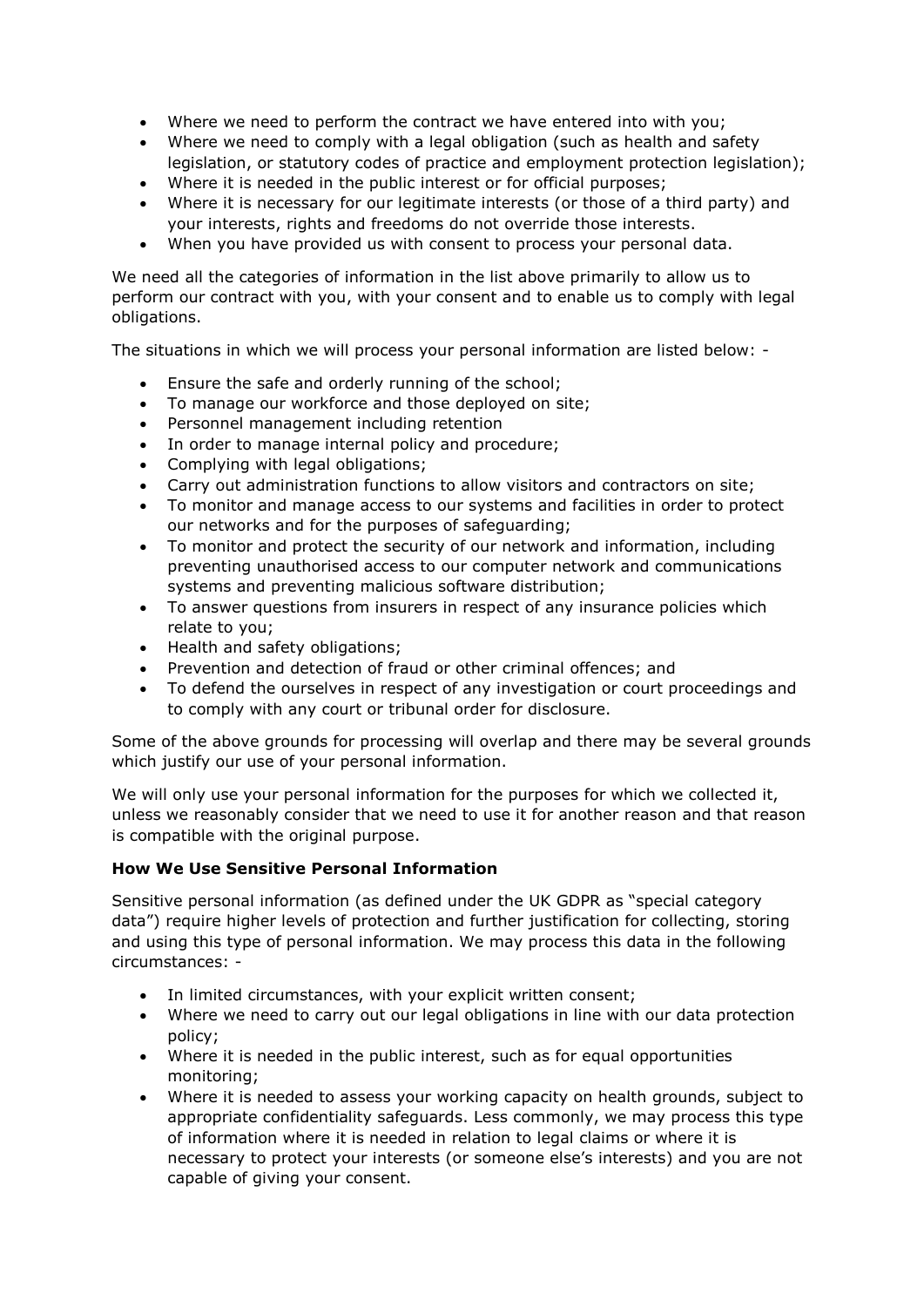- Where we need to perform the contract we have entered into with you;
- Where we need to comply with a legal obligation (such as health and safety legislation, or statutory codes of practice and employment protection legislation);
- Where it is needed in the public interest or for official purposes;
- Where it is necessary for our legitimate interests (or those of a third party) and your interests, rights and freedoms do not override those interests.
- When you have provided us with consent to process your personal data.

We need all the categories of information in the list above primarily to allow us to perform our contract with you, with your consent and to enable us to comply with legal obligations.

The situations in which we will process your personal information are listed below: -

- Ensure the safe and orderly running of the school;
- To manage our workforce and those deployed on site;
- Personnel management including retention
- In order to manage internal policy and procedure:
- Complying with legal obligations;
- Carry out administration functions to allow visitors and contractors on site;
- To monitor and manage access to our systems and facilities in order to protect our networks and for the purposes of safeguarding;
- To monitor and protect the security of our network and information, including preventing unauthorised access to our computer network and communications systems and preventing malicious software distribution;
- To answer questions from insurers in respect of any insurance policies which relate to you;
- Health and safety obligations:
- Prevention and detection of fraud or other criminal offences; and
- To defend the ourselves in respect of any investigation or court proceedings and to comply with any court or tribunal order for disclosure.

Some of the above grounds for processing will overlap and there may be several grounds which justify our use of your personal information.

We will only use your personal information for the purposes for which we collected it, unless we reasonably consider that we need to use it for another reason and that reason is compatible with the original purpose.

# **How We Use Sensitive Personal Information**

Sensitive personal information (as defined under the UK GDPR as "special category data") require higher levels of protection and further justification for collecting, storing and using this type of personal information. We may process this data in the following circumstances: -

- In limited circumstances, with your explicit written consent;
- Where we need to carry out our legal obligations in line with our data protection policy;
- Where it is needed in the public interest, such as for equal opportunities monitoring;
- Where it is needed to assess your working capacity on health grounds, subject to appropriate confidentiality safeguards. Less commonly, we may process this type of information where it is needed in relation to legal claims or where it is necessary to protect your interests (or someone else's interests) and you are not capable of giving your consent.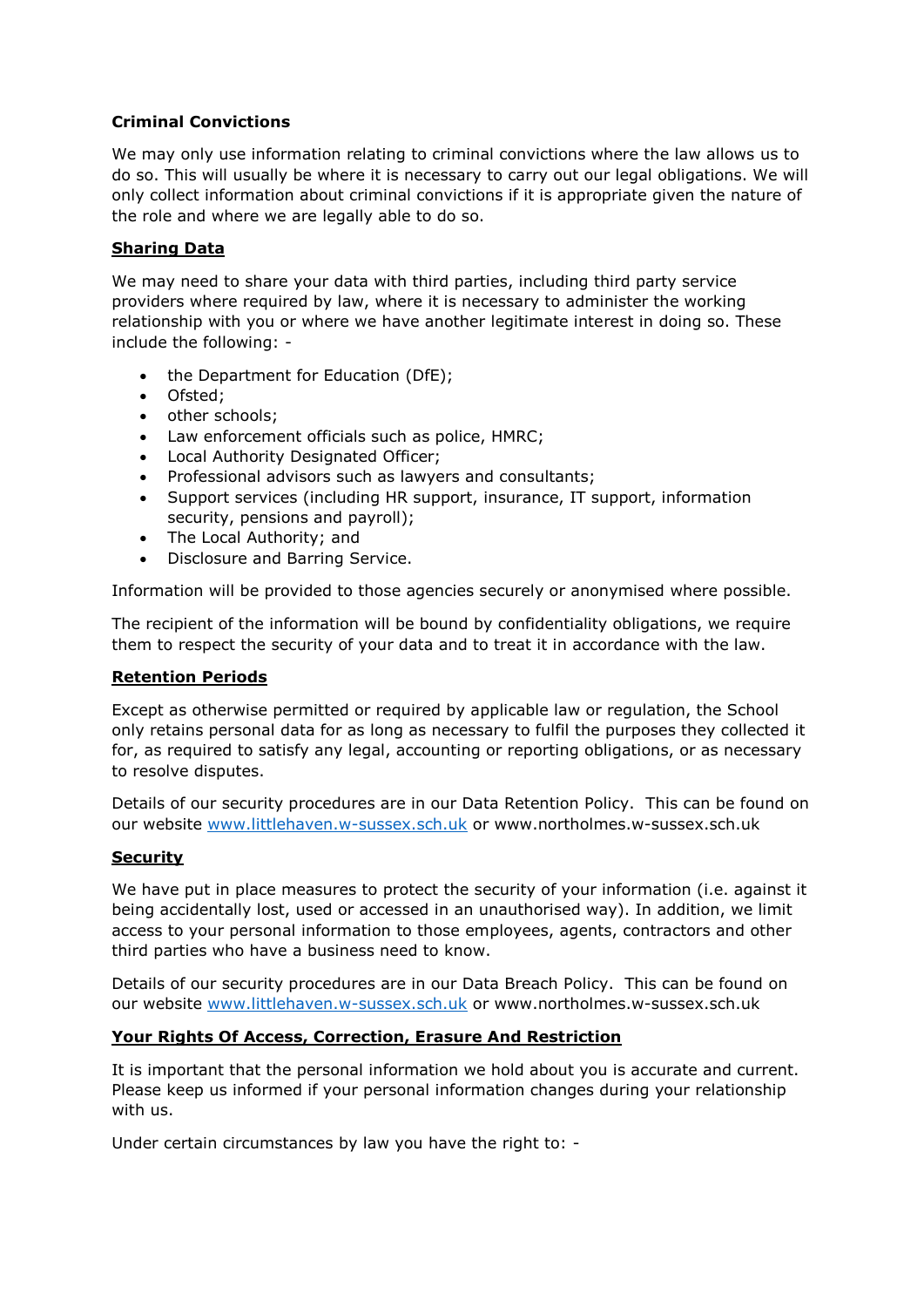## **Criminal Convictions**

We may only use information relating to criminal convictions where the law allows us to do so. This will usually be where it is necessary to carry out our legal obligations. We will only collect information about criminal convictions if it is appropriate given the nature of the role and where we are legally able to do so.

## **Sharing Data**

We may need to share your data with third parties, including third party service providers where required by law, where it is necessary to administer the working relationship with you or where we have another legitimate interest in doing so. These include the following: -

- the Department for Education (DfE);
- Ofsted:
- other schools;
- Law enforcement officials such as police, HMRC;
- Local Authority Designated Officer;
- Professional advisors such as lawyers and consultants;
- Support services (including HR support, insurance, IT support, information security, pensions and payroll);
- The Local Authority; and
- Disclosure and Barring Service.

Information will be provided to those agencies securely or anonymised where possible.

The recipient of the information will be bound by confidentiality obligations, we require them to respect the security of your data and to treat it in accordance with the law.

#### **Retention Periods**

Except as otherwise permitted or required by applicable law or regulation, the School only retains personal data for as long as necessary to fulfil the purposes they collected it for, as required to satisfy any legal, accounting or reporting obligations, or as necessary to resolve disputes.

Details of our security procedures are in our Data Retention Policy. This can be found on our website [www.littlehaven.w-sussex.sch.uk](http://www.littlehaven.w-sussex.sch.uk/) or www.northolmes.w-sussex.sch.uk

# **Security**

We have put in place measures to protect the security of your information (i.e. against it being accidentally lost, used or accessed in an unauthorised way). In addition, we limit access to your personal information to those employees, agents, contractors and other third parties who have a business need to know.

Details of our security procedures are in our Data Breach Policy. This can be found on our website [www.littlehaven.w-sussex.sch.uk](http://www.littlehaven.w-sussex.sch.uk/) or www.northolmes.w-sussex.sch.uk

#### **Your Rights Of Access, Correction, Erasure And Restriction**

It is important that the personal information we hold about you is accurate and current. Please keep us informed if your personal information changes during your relationship with us.

Under certain circumstances by law you have the right to: -